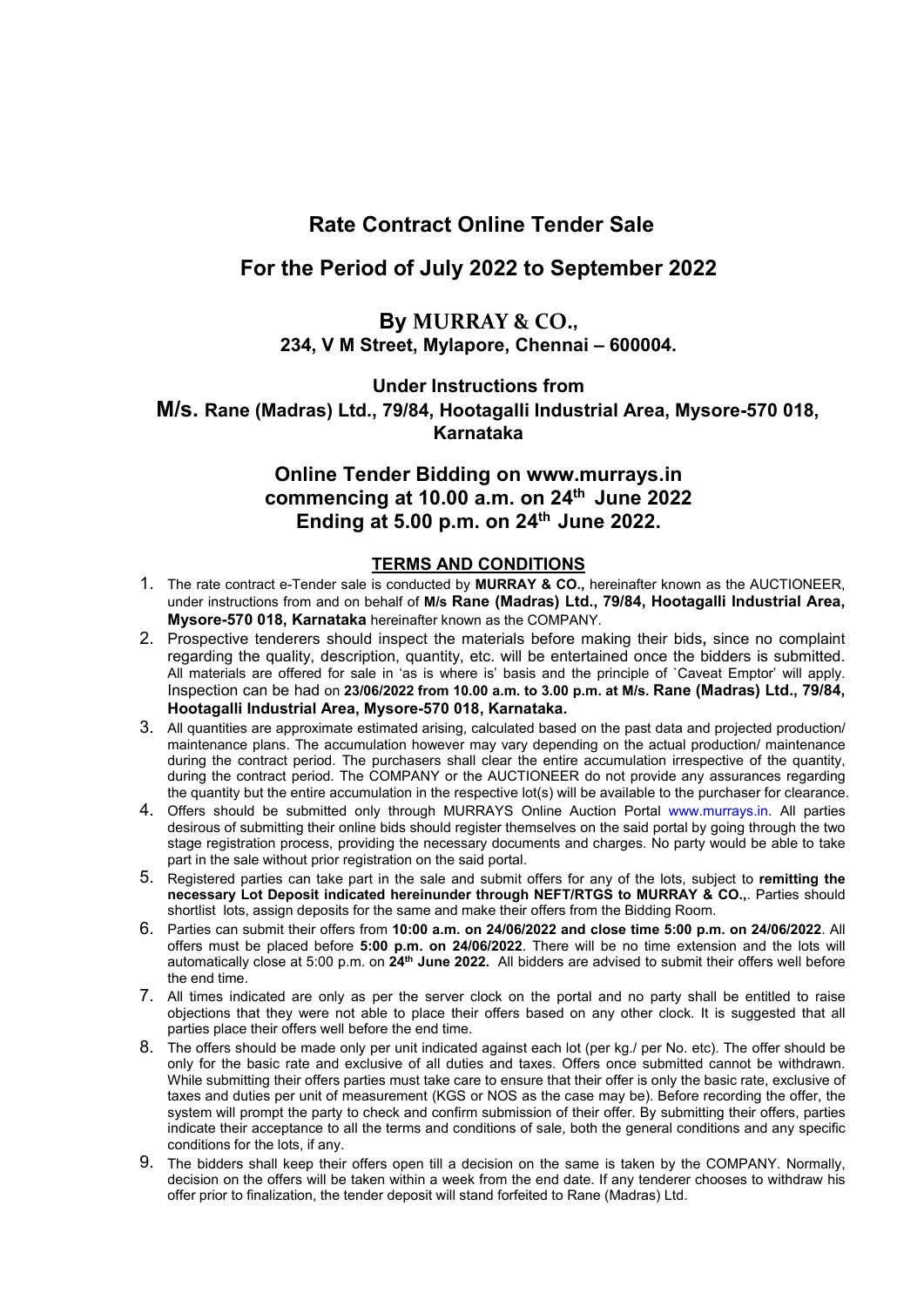# **Rate Contract Online Tender Sale**

### **For the Period of July 2022 to September 2022**

### **By MURRAY & CO., 234, V M Street, Mylapore, Chennai – 600004.**

**Under Instructions from**

**M/s. Rane (Madras) Ltd., 79/84, Hootagalli Industrial Area, Mysore-570 018, Karnataka**

## **Online Tender Bidding on www.murrays.in commencing at 10.00 a.m. on 24 th June 2022 Ending at 5.00 p.m. on 24 th June 2022.**

#### **TERMS AND CONDITIONS**

- 1. The rate contract e-Tender sale isconducted by **MURRAY & CO.,** hereinafter known as the AUCTIONEER, under instructions from and on behalf of **M/s Rane (Madras) Ltd., 79/84, Hootagalli Industrial Area, Mysore-570 018, Karnataka** hereinafter known as the COMPANY.
- 2. Prospective tenderers should inspect the materials before making their bids**,** since no complaint regarding the quality, description, quantity, etc. will be entertained once the bidders is submitted. All materials are offered for sale in 'as is where is' basis and the principle of `Caveat Emptor' will apply. Inspection can be had on **23/06/2022 from 10.00 a.m. to 3.00 p.m. at M/s. Rane (Madras) Ltd., 79/84, Hootagalli Industrial Area, Mysore-570 018, Karnataka.**
- 3. All quantities are approximate estimated arising, calculated based on the past data and projected production/ maintenance plans. The accumulation however may vary depending on the actual production/ maintenance during the contract period. The purchasers shall clear the entire accumulation irrespective of the quantity, during the contract period. The COMPANY or the AUCTIONEER do not provide any assurances regarding the quantity but the entire accumulation in the respective lot(s) will be available to the purchaser for clearance.
- 4. Offers should be submitted only through MURRAYS Online Auction Portal [www.murrays.in](http://www.murrays.in/). All parties desirous of submitting their online bids should register themselves on the said portal by going through the two stage registration process, providing the necessary documents and charges. No party would be able to take part in the sale without prior registration on the said portal.
- 5. Registered parties can take part in the sale and submit offers for any of the lots, subject to **remitting the necessary Lot Deposit indicated hereinunder through NEFT/RTGS to MURRAY & CO.,**. Parties should shortlist lots, assign deposits for the same and make their offers from the Bidding Room.
- 6. Parties can submit their offers from **10:00 a.m. on 24/06/2022 and close time 5:00 p.m. on 24/06/2022**. All offers must be placed before **5:00 p.m. on 24/06/2022**. There will be no time extension and the lots will automatically close at 5:00 p.m. on **24 th June 2022.** All bidders are advised to submit their offers well before the end time.
- 7. All times indicated are only as per the server clock on the portal and no party shall be entitled to raise objections that they were not able to place their offers based on any other clock. It is suggested that all parties place their offers well before the end time.
- 8. The offers should be made only per unit indicated against each lot (per kg./ per No. etc). The offer should be only for the basic rate and exclusive of all duties and taxes. Offers once submitted cannot be withdrawn. While submitting their offers parties must take care to ensure that their offer is only the basic rate, exclusive of taxes and duties per unit of measurement (KGS or NOS as the case may be). Before recording the offer, the system will prompt the party to check and confirm submission of their offer. By submitting their offers, parties indicate their acceptance to all the terms and conditions of sale, both the general conditions and any specific conditions for the lots, if any.
- 9. The bidders shall keep their offers open till a decision on the same is taken by the COMPANY. Normally, decision on the offers will be taken within a week from the end date. If any tenderer chooses to withdraw his offer prior to finalization, the tender deposit will stand forfeited to Rane (Madras) Ltd.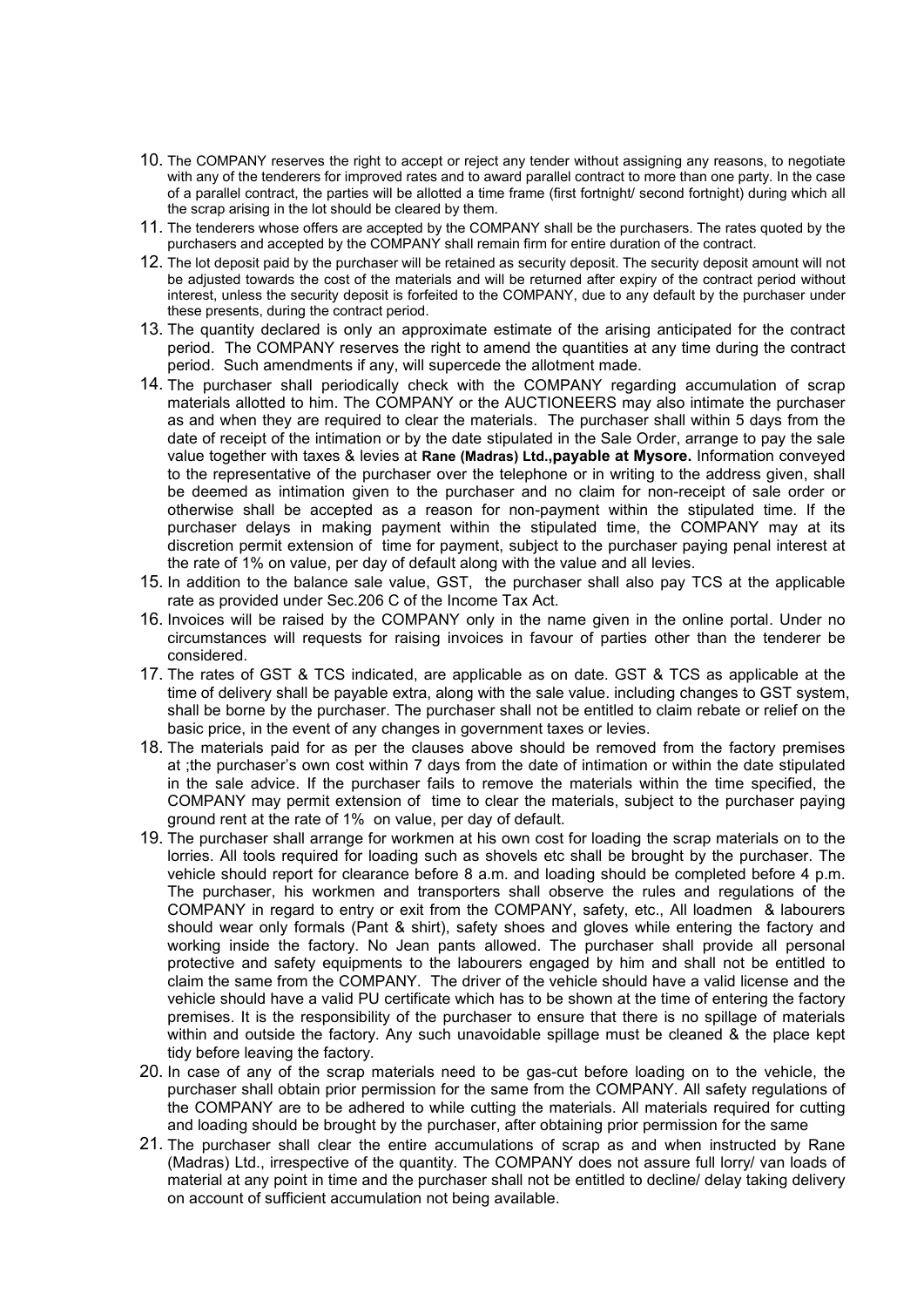- 10. The COMPANY reserves the right to accept or reject any tenderwithout assigning any reasons, to negotiate with any of the tenderers for improved rates and to award parallel contract to more than one party. In the case of a parallel contract, the parties will be allotted a time frame (first fortnight/ second fortnight) during which all the scrap arising in the lot should be cleared by them.
- 11. The tenderers whose offers are accepted by the COMPANY shall be the purchasers. The rates quoted by the purchasers and accepted by the COMPANY shall remain firm for entire duration of the contract.
- 12. The lot deposit paid by the purchaser will be retained as security deposit. The security deposit amount will not be adjusted towards the cost of the materials and will be returned after expiry of the contract period without interest, unless the security deposit is forfeited to the COMPANY, due to any default by the purchaser under these presents, during the contract period.
- 13. The quantity declared is only an approximate estimate of the arising anticipated for the contract period. The COMPANY reserves the right to amend the quantities at any time during the contract period. Such amendments if any, will supercede the allotment made.
- 14. The purchaser shall periodically check with the COMPANY regarding accumulation of scrap materials allotted to him. The COMPANY or the AUCTIONEERS may also intimate the purchaser as and when they are required to clear the materials. The purchaser shall within 5 days from the date of receipt of the intimation or by the date stipulated in the Sale Order, arrange to pay the sale value together with taxes & levies at **Rane (Madras) Ltd.,payable at Mysore.**Information conveyed to the representative of the purchaser over the telephone or in writing to the address given, shall be deemed as intimation given to the purchaser and no claim for non-receipt of sale order or otherwise shall be accepted as a reason for non-payment within the stipulated time. If the purchaser delays in making payment within the stipulated time, the COMPANY may at its discretion permit extension of time for payment, subject to the purchaser paying penal interest at the rate of 1% on value, per day of default along with the value and all levies.
- 15. In addition to the balance sale value, GST, the purchaser shall also pay TCS at the applicable rate as provided under Sec.206 C of the Income Tax Act.
- 16. Invoices will be raised by the COMPANY only in the name given in the online portal. Under no circumstances will requests for raising invoices in favour of parties other than the tenderer be considered.
- 17. The rates of GST & TCS indicated, are applicable as on date. GST & TCS as applicable at the time of delivery shall be payable extra, along with the sale value. including changes to GST system, shall be borne by the purchaser. The purchaser shall not be entitled to claim rebate or relief on the basic price, in the event of any changes in government taxes or levies.
- 18. The materials paid for as per the clauses above should be removed from the factory premises at ;the purchaser's own cost within 7 days from the date of intimation or within the date stipulated in the sale advice. If the purchaser fails to remove the materials within the time specified, the COMPANY may permit extension of time to clear the materials, subject to the purchaser paying ground rent at the rate of 1% on value, per day of default.
- 19. The purchaser shall arrange for workmen at his own cost for loading the scrap materials on to the lorries. All tools required for loading such as shovels etc shall be brought by the purchaser. The vehicle should report for clearance before 8 a.m. and loading should be completed before 4 p.m. The purchaser, his workmen and transporters shall observe the rules and regulations of the COMPANY in regard to entry or exit from the COMPANY, safety, etc., All loadmen & labourers should wear only formals (Pant & shirt), safety shoes and gloves while entering the factory and working inside the factory. No Jean pants allowed. The purchaser shall provide all personal protective and safety equipments to the labourers engaged by him and shall not be entitled to claim the same from the COMPANY. The driver ofthe vehicle should have a valid license and the vehicle should have a valid PU certificate which has to be shown at the time of entering the factory premises. It is the responsibility of the purchaser to ensure that there is no spillage of materials within and outside the factory. Any such unavoidable spillage must be cleaned & the place kept tidy before leaving the factory.
- 20. In case of any of the scrap materials need to be gas-cut before loading on to the vehicle, the purchaser shall obtain prior permission for the same from the COMPANY. All safety regulations of the COMPANY are to be adhered to while cutting the materials. All materials required for cutting and loading should be brought by the purchaser, after obtaining prior permission for the same
- 21. The purchaser shall clear the entire accumulations of scrap as and when instructed by Rane (Madras) Ltd., irrespective of the quantity. The COMPANY does not assure full lorry/ van loads of material at any point in time and the purchaser shall not be entitled to decline/ delay taking delivery on account of sufficient accumulation not being available.